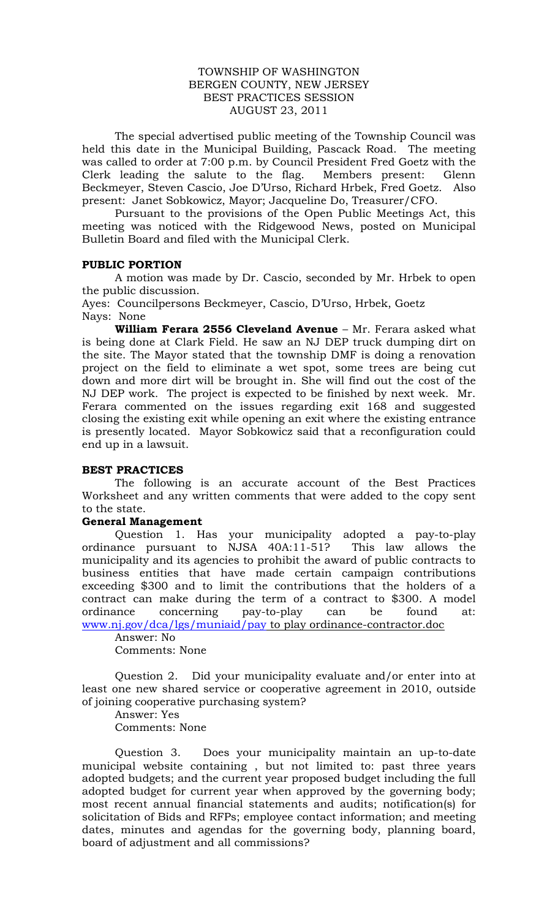### TOWNSHIP OF WASHINGTON BERGEN COUNTY, NEW JERSEY BEST PRACTICES SESSION AUGUST 23, 2011

The special advertised public meeting of the Township Council was held this date in the Municipal Building, Pascack Road. The meeting was called to order at 7:00 p.m. by Council President Fred Goetz with the Clerk leading the salute to the flag. Members present: Glenn Beckmeyer, Steven Cascio, Joe D'Urso, Richard Hrbek, Fred Goetz. Also present: Janet Sobkowicz, Mayor; Jacqueline Do, Treasurer/CFO.

Pursuant to the provisions of the Open Public Meetings Act, this meeting was noticed with the Ridgewood News, posted on Municipal Bulletin Board and filed with the Municipal Clerk.

### **PUBLIC PORTION**

A motion was made by Dr. Cascio, seconded by Mr. Hrbek to open the public discussion.

Ayes: Councilpersons Beckmeyer, Cascio, D'Urso, Hrbek, Goetz Nays: None

**William Ferara 2556 Cleveland Avenue** – Mr. Ferara asked what is being done at Clark Field. He saw an NJ DEP truck dumping dirt on the site. The Mayor stated that the township DMF is doing a renovation project on the field to eliminate a wet spot, some trees are being cut down and more dirt will be brought in. She will find out the cost of the NJ DEP work. The project is expected to be finished by next week. Mr. Ferara commented on the issues regarding exit 168 and suggested closing the existing exit while opening an exit where the existing entrance is presently located. Mayor Sobkowicz said that a reconfiguration could end up in a lawsuit.

# **BEST PRACTICES**

The following is an accurate account of the Best Practices Worksheet and any written comments that were added to the copy sent to the state.

### **General Management**

Question 1. Has your municipality adopted a pay-to-play ordinance pursuant to NJSA 40A:11-51? This law allows the municipality and its agencies to prohibit the award of public contracts to business entities that have made certain campaign contributions exceeding \$300 and to limit the contributions that the holders of a contract can make during the term of a contract to \$300. A model ordinance concerning pay-to-play can be found at: [www.nj.gov/dca/lgs/muniaid/pay](http://www.nj.gov/dca/lgs/muniaid/pay) to play ordinance-contractor.doc

Answer: No Comments: None

Question 2. Did your municipality evaluate and/or enter into at least one new shared service or cooperative agreement in 2010, outside of joining cooperative purchasing system?

Answer: Yes Comments: None

Question 3. Does your municipality maintain an up-to-date municipal website containing , but not limited to: past three years adopted budgets; and the current year proposed budget including the full adopted budget for current year when approved by the governing body; most recent annual financial statements and audits; notification(s) for solicitation of Bids and RFPs; employee contact information; and meeting dates, minutes and agendas for the governing body, planning board, board of adjustment and all commissions?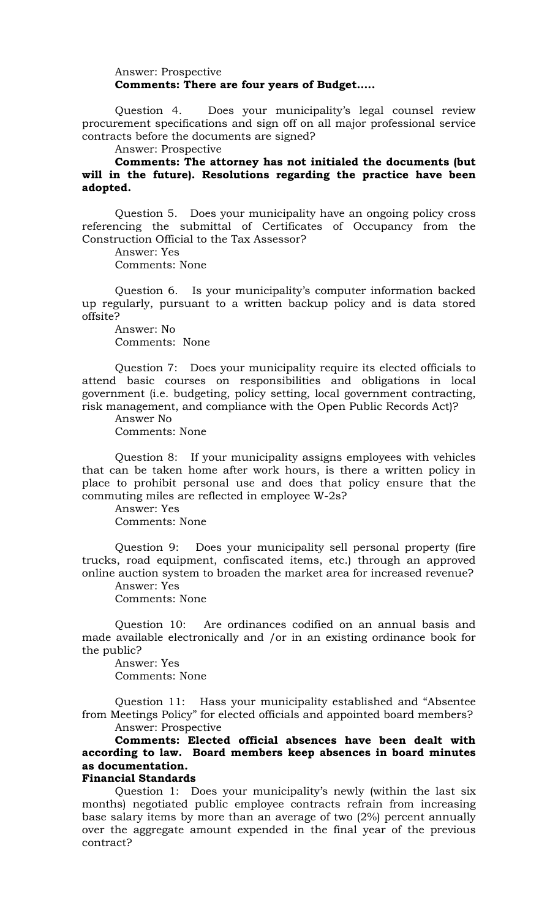### Answer: Prospective **Comments: There are four years of Budget…..**

Question 4. Does your municipality's legal counsel review procurement specifications and sign off on all major professional service contracts before the documents are signed?

Answer: Prospective

**Comments: The attorney has not initialed the documents (but will in the future). Resolutions regarding the practice have been adopted.**

Question 5. Does your municipality have an ongoing policy cross referencing the submittal of Certificates of Occupancy from the Construction Official to the Tax Assessor?

Answer: Yes Comments: None

Question 6. Is your municipality's computer information backed up regularly, pursuant to a written backup policy and is data stored offsite?

Answer: No Comments: None

Question 7: Does your municipality require its elected officials to attend basic courses on responsibilities and obligations in local government (i.e. budgeting, policy setting, local government contracting, risk management, and compliance with the Open Public Records Act)?

Answer No Comments: None

Question 8: If your municipality assigns employees with vehicles that can be taken home after work hours, is there a written policy in place to prohibit personal use and does that policy ensure that the commuting miles are reflected in employee W-2s?

Answer: Yes Comments: None

Question 9: Does your municipality sell personal property (fire trucks, road equipment, confiscated items, etc.) through an approved online auction system to broaden the market area for increased revenue?

Answer: Yes

Comments: None

Question 10: Are ordinances codified on an annual basis and made available electronically and /or in an existing ordinance book for the public?

Answer: Yes Comments: None

Question 11: Hass your municipality established and "Absentee from Meetings Policy" for elected officials and appointed board members?

Answer: Prospective

**Comments: Elected official absences have been dealt with according to law. Board members keep absences in board minutes as documentation.**

# **Financial Standards**

Question 1: Does your municipality's newly (within the last six months) negotiated public employee contracts refrain from increasing base salary items by more than an average of two (2%) percent annually over the aggregate amount expended in the final year of the previous contract?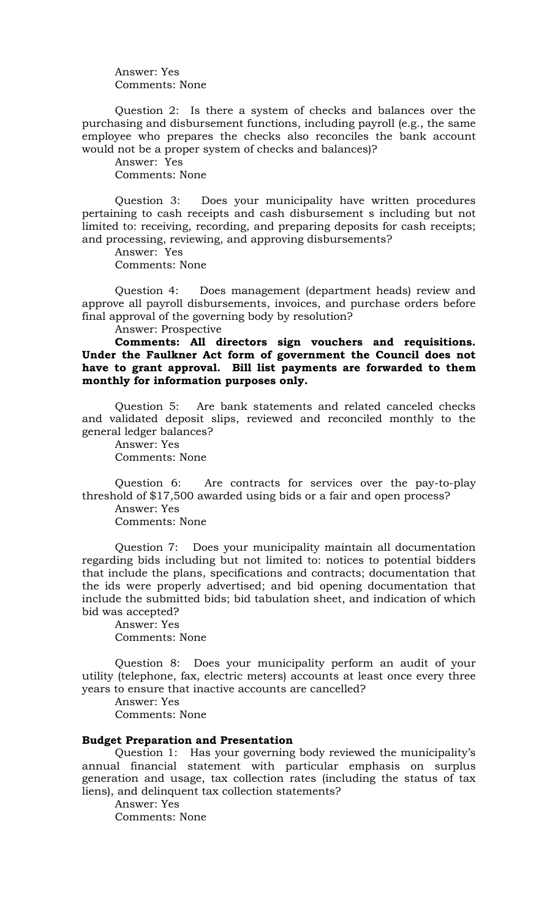Answer: Yes Comments: None

Question 2: Is there a system of checks and balances over the purchasing and disbursement functions, including payroll (e.g., the same employee who prepares the checks also reconciles the bank account would not be a proper system of checks and balances)?

Answer: Yes Comments: None

Question 3: Does your municipality have written procedures pertaining to cash receipts and cash disbursement s including but not limited to: receiving, recording, and preparing deposits for cash receipts; and processing, reviewing, and approving disbursements?

Answer: Yes Comments: None

Question 4: Does management (department heads) review and approve all payroll disbursements, invoices, and purchase orders before final approval of the governing body by resolution?

Answer: Prospective

# **Comments: All directors sign vouchers and requisitions. Under the Faulkner Act form of government the Council does not have to grant approval. Bill list payments are forwarded to them monthly for information purposes only.**

Question 5: Are bank statements and related canceled checks and validated deposit slips, reviewed and reconciled monthly to the general ledger balances?

Answer: Yes Comments: None

Question 6: Are contracts for services over the pay-to-play threshold of \$17,500 awarded using bids or a fair and open process? Answer: Yes

Comments: None

Question 7: Does your municipality maintain all documentation regarding bids including but not limited to: notices to potential bidders that include the plans, specifications and contracts; documentation that the ids were properly advertised; and bid opening documentation that include the submitted bids; bid tabulation sheet, and indication of which bid was accepted?

Answer: Yes Comments: None

Question 8: Does your municipality perform an audit of your utility (telephone, fax, electric meters) accounts at least once every three years to ensure that inactive accounts are cancelled?

Answer: Yes

Comments: None

#### **Budget Preparation and Presentation**

Question 1: Has your governing body reviewed the municipality's annual financial statement with particular emphasis on surplus generation and usage, tax collection rates (including the status of tax liens), and delinquent tax collection statements?

Answer: Yes Comments: None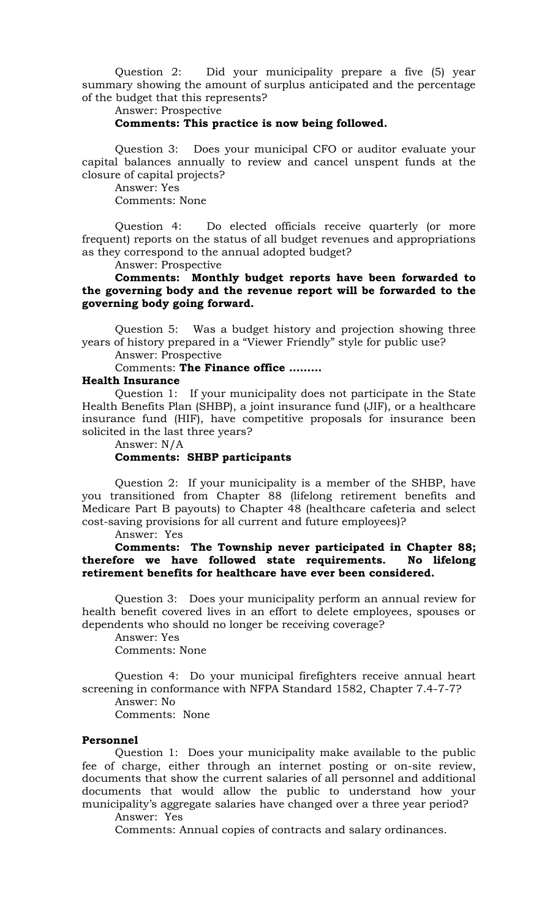Question 2: Did your municipality prepare a five (5) year summary showing the amount of surplus anticipated and the percentage of the budget that this represents?

Answer: Prospective

#### **Comments: This practice is now being followed.**

Question 3: Does your municipal CFO or auditor evaluate your capital balances annually to review and cancel unspent funds at the closure of capital projects?

Answer: Yes

Comments: None

Question 4: Do elected officials receive quarterly (or more frequent) reports on the status of all budget revenues and appropriations as they correspond to the annual adopted budget?

Answer: Prospective

**Comments: Monthly budget reports have been forwarded to the governing body and the revenue report will be forwarded to the governing body going forward.**

Question 5: Was a budget history and projection showing three years of history prepared in a "Viewer Friendly" style for public use?

Answer: Prospective

Comments: **The Finance office ………**

#### **Health Insurance**

Question 1: If your municipality does not participate in the State Health Benefits Plan (SHBP), a joint insurance fund (JIF), or a healthcare insurance fund (HIF), have competitive proposals for insurance been solicited in the last three years?

Answer: N/A **Comments: SHBP participants**

Question 2: If your municipality is a member of the SHBP, have you transitioned from Chapter 88 (lifelong retirement benefits and Medicare Part B payouts) to Chapter 48 (healthcare cafeteria and select cost-saving provisions for all current and future employees)?

Answer: Yes

**Comments: The Township never participated in Chapter 88; therefore we have followed state requirements. No lifelong retirement benefits for healthcare have ever been considered.**

Question 3: Does your municipality perform an annual review for health benefit covered lives in an effort to delete employees, spouses or dependents who should no longer be receiving coverage?

Answer: Yes Comments: None

Question 4: Do your municipal firefighters receive annual heart screening in conformance with NFPA Standard 1582, Chapter 7.4-7-7?

Answer: No Comments: None

# **Personnel**

Question 1: Does your municipality make available to the public fee of charge, either through an internet posting or on-site review, documents that show the current salaries of all personnel and additional documents that would allow the public to understand how your municipality's aggregate salaries have changed over a three year period?

Answer: Yes

Comments: Annual copies of contracts and salary ordinances.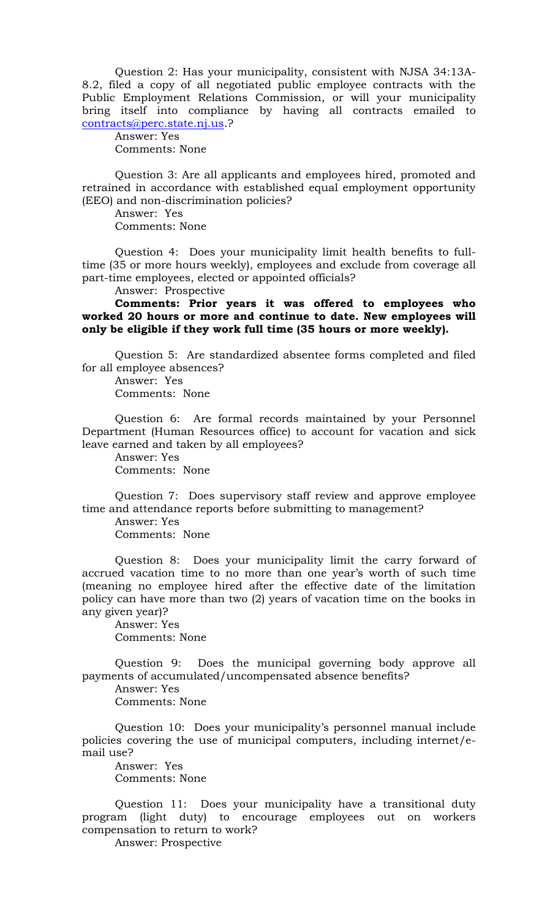Question 2: Has your municipality, consistent with NJSA 34:13A-8.2, filed a copy of all negotiated public employee contracts with the Public Employment Relations Commission, or will your municipality bring itself into compliance by having all contracts emailed to [contracts@perc.state.nj.us.](mailto:contracts@perc.state.nj.us)?

Answer: Yes Comments: None

Question 3: Are all applicants and employees hired, promoted and retrained in accordance with established equal employment opportunity (EEO) and non-discrimination policies?

Answer: Yes Comments: None

Question 4: Does your municipality limit health benefits to fulltime (35 or more hours weekly), employees and exclude from coverage all part-time employees, elected or appointed officials?

Answer: Prospective

**Comments: Prior years it was offered to employees who worked 20 hours or more and continue to date. New employees will only be eligible if they work full time (35 hours or more weekly).**

Question 5: Are standardized absentee forms completed and filed for all employee absences?

Answer: Yes Comments: None

Question 6: Are formal records maintained by your Personnel Department (Human Resources office) to account for vacation and sick leave earned and taken by all employees?

Answer: Yes Comments: None

Question 7: Does supervisory staff review and approve employee time and attendance reports before submitting to management?

Answer: Yes Comments: None

Question 8: Does your municipality limit the carry forward of accrued vacation time to no more than one year's worth of such time (meaning no employee hired after the effective date of the limitation policy can have more than two (2) years of vacation time on the books in any given year)?

Answer: Yes Comments: None

Question 9: Does the municipal governing body approve all payments of accumulated/uncompensated absence benefits?

Answer: Yes Comments: None

Question 10: Does your municipality's personnel manual include policies covering the use of municipal computers, including internet/email use?

Answer: Yes Comments: None

Question 11: Does your municipality have a transitional duty program (light duty) to encourage employees out on workers compensation to return to work?

Answer: Prospective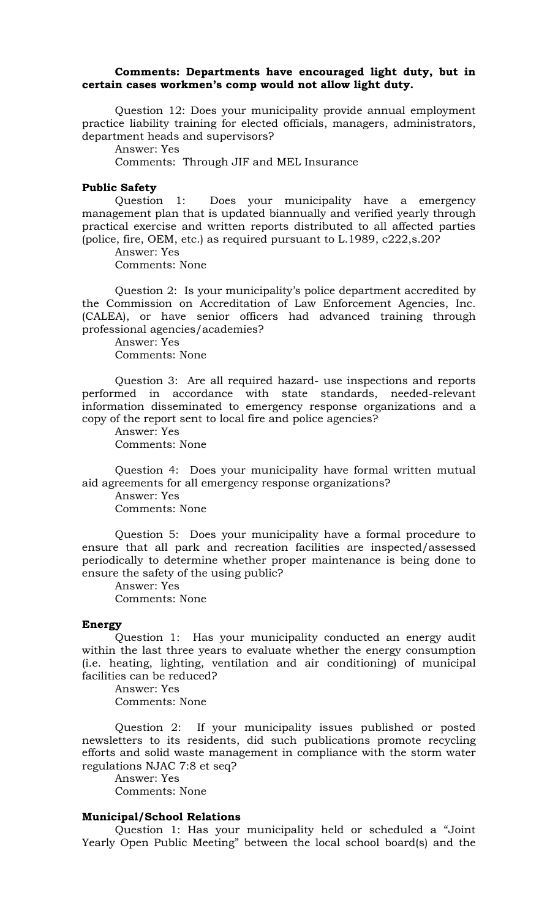### **Comments: Departments have encouraged light duty, but in certain cases workmen's comp would not allow light duty.**

Question 12: Does your municipality provide annual employment practice liability training for elected officials, managers, administrators, department heads and supervisors?

Answer: Yes

Comments: Through JIF and MEL Insurance

#### **Public Safety**

Question 1: Does your municipality have a emergency management plan that is updated biannually and verified yearly through practical exercise and written reports distributed to all affected parties (police, fire, OEM, etc.) as required pursuant to L.1989, c222,s.20?

Answer: Yes

Comments: None

Question 2: Is your municipality's police department accredited by the Commission on Accreditation of Law Enforcement Agencies, Inc. (CALEA), or have senior officers had advanced training through professional agencies/academies?

Answer: Yes Comments: None

Question 3: Are all required hazard- use inspections and reports performed in accordance with state standards, needed-relevant information disseminated to emergency response organizations and a copy of the report sent to local fire and police agencies?

Answer: Yes Comments: None

Question 4: Does your municipality have formal written mutual aid agreements for all emergency response organizations?

Answer: Yes Comments: None

Question 5: Does your municipality have a formal procedure to ensure that all park and recreation facilities are inspected/assessed periodically to determine whether proper maintenance is being done to ensure the safety of the using public?

Answer: Yes Comments: None

#### **Energy**

Question 1: Has your municipality conducted an energy audit within the last three years to evaluate whether the energy consumption (i.e. heating, lighting, ventilation and air conditioning) of municipal facilities can be reduced?

Answer: Yes Comments: None

Question 2: If your municipality issues published or posted newsletters to its residents, did such publications promote recycling efforts and solid waste management in compliance with the storm water regulations NJAC 7:8 et seq?

Answer: Yes Comments: None

# **Municipal/School Relations**

Question 1: Has your municipality held or scheduled a "Joint Yearly Open Public Meeting" between the local school board(s) and the